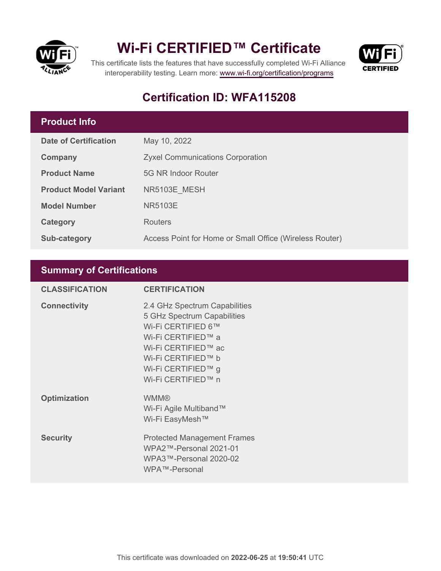



This certificate lists the features that have successfully completed Wi-Fi Alliance interoperability testing. Learn more:<www.wi-fi.org/certification/programs>

# **Certification ID: WFA115208**

# **Product Info**

| <b>Date of Certification</b> | May 10, 2022                                            |
|------------------------------|---------------------------------------------------------|
| Company                      | <b>Zyxel Communications Corporation</b>                 |
| <b>Product Name</b>          | 5G NR Indoor Router                                     |
| <b>Product Model Variant</b> | NR5103E MESH                                            |
| <b>Model Number</b>          | <b>NR5103E</b>                                          |
| Category                     | <b>Routers</b>                                          |
| <b>Sub-category</b>          | Access Point for Home or Small Office (Wireless Router) |

## **Summary of Certifications**

| <b>CLASSIFICATION</b> | <b>CERTIFICATION</b>                                                                                                                                                                              |
|-----------------------|---------------------------------------------------------------------------------------------------------------------------------------------------------------------------------------------------|
| <b>Connectivity</b>   | 2.4 GHz Spectrum Capabilities<br>5 GHz Spectrum Capabilities<br>Wi-Fi CERTIFIED 6™<br>Wi-Fi CERTIFIED™ a<br>Wi-Fi CERTIFIED™ ac<br>Wi-Fi CERTIFIED™ b<br>Wi-Fi CERTIFIED™ g<br>Wi-Fi CERTIFIED™ n |
| <b>Optimization</b>   | <b>WMM®</b><br>Wi-Fi Agile Multiband™<br>Wi-Fi EasyMesh™                                                                                                                                          |
| <b>Security</b>       | <b>Protected Management Frames</b><br>WPA2™-Personal 2021-01<br>WPA3™-Personal 2020-02<br>WPA™-Personal                                                                                           |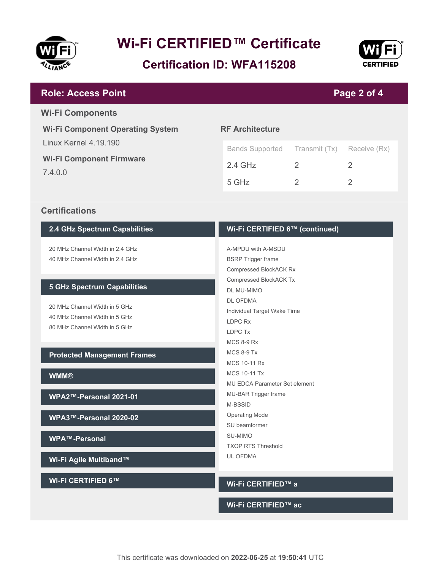





#### **RF Architecture** Bands Supported Transmit (Tx) Receive (Rx) 2.4 GHz 2 2 2 5 GHz 2 2 **Wi-Fi Component Operating System** Linux Kernel 4.19.190 **Wi-Fi Component Firmware** 7.4.0.0 **Page 2 of 4 Role: Access Point Wi-Fi Components**

#### **Certifications**

#### **2.4 GHz Spectrum Capabilities**

20 MHz Channel Width in 2.4 GHz 40 MHz Channel Width in 2.4 GHz

#### **5 GHz Spectrum Capabilities**

20 MHz Channel Width in 5 GHz 40 MHz Channel Width in 5 GHz 80 MHz Channel Width in 5 GHz

#### **Protected Management Frames**

**WMM®**

**WPA2™-Personal 2021-01**

**WPA3™-Personal 2020-02**

**WPA™-Personal**

**Wi-Fi Agile Multiband™**

**Wi-Fi CERTIFIED 6™**

#### **Wi-Fi CERTIFIED 6™ (continued)**

A-MPDU with A-MSDU BSRP Trigger frame Compressed BlockACK Rx Compressed BlockACK Tx DL MU-MIMO DL OFDMA Individual Target Wake Time LDPC Rx LDPC Tx MCS 8-9 Rx MCS 8-9 Tx MCS 10-11 Rx MCS 10-11 Tx MU EDCA Parameter Set element MU-BAR Trigger frame M-BSSID Operating Mode SU beamformer SU-MIMO TXOP RTS Threshold UL OFDMA

#### **Wi-Fi CERTIFIED™ a**

#### **Wi-Fi CERTIFIED™ ac**

This certificate was downloaded on **2022-06-25** at **19:50:41** UTC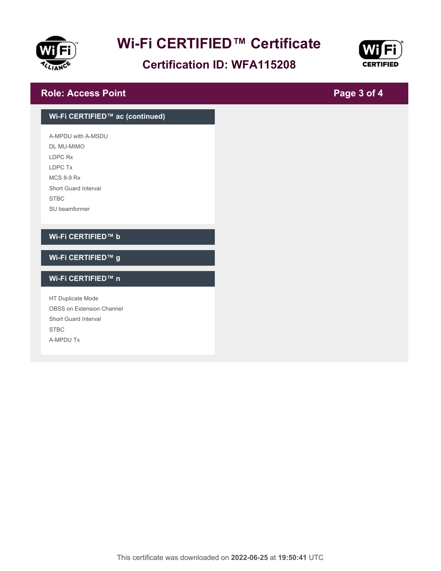

# **Certification ID: WFA115208**



**Page 3 of 4**

### **Role: Access Point**

# **Wi-Fi CERTIFIED™ ac (continued)** A-MPDU with A-MSDU DL MU-MIMO LDPC Rx LDPC Tx MCS 8-9 Rx Short Guard Interval STBC SU beamformer **Wi-Fi CERTIFIED™ b Wi-Fi CERTIFIED™ g Wi-Fi CERTIFIED™ n** HT Duplicate Mode OBSS on Extension Channel Short Guard Interval STBC A-MPDU Tx